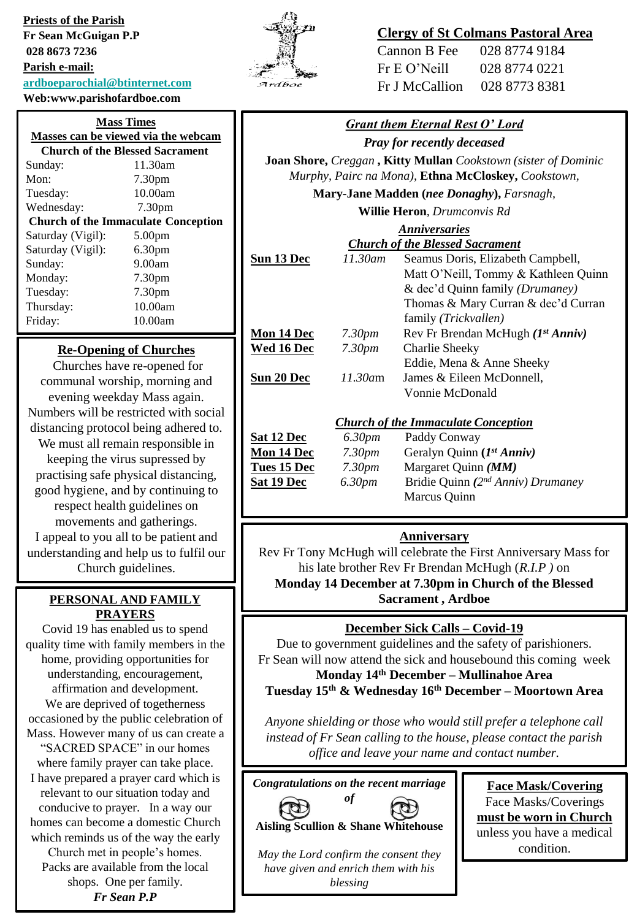**Priests of the Parish Fr Sean McGuigan P.P 028 8673 7236 Parish e-mail: [ardboeparochial@btinternet.com](mailto:ardboeparochial@btinternet.com) Web:www.parishofardboe.com**

| <b>Mass Times</b><br>Masses can be viewed via the webcam |                                        |  |
|----------------------------------------------------------|----------------------------------------|--|
|                                                          |                                        |  |
|                                                          | <b>Church of the Blessed Sacrament</b> |  |
| Sunday:                                                  | 11.30am                                |  |
| Mon:                                                     | 7.30 <sub>pm</sub>                     |  |
| Tuesday:                                                 | 10.00am                                |  |
| Wednesday:                                               | 7.30 <sub>pm</sub>                     |  |
| <b>Church of the Immaculate Conception</b>               |                                        |  |
| Saturday (Vigil):                                        | 5.00 <sub>pm</sub>                     |  |
| Saturday (Vigil):                                        | 6.30pm                                 |  |
| Sunday:                                                  | 9.00am                                 |  |
| Monday:                                                  | 7.30 <sub>pm</sub>                     |  |
| Tuesday:                                                 | 7.30 <sub>pm</sub>                     |  |
| Thursday:                                                | 10.00am                                |  |
| Friday:                                                  | 10.00am                                |  |

#### **Re-Opening of Churches**

Churches have re-opened for communal worship, morning and evening weekday Mass again. Numbers will be restricted with social distancing protocol being adhered to. We must all remain responsible in keeping the virus supressed by practising safe physical distancing, good hygiene, and by continuing to respect health guidelines on movements and gatherings. I appeal to you all to be patient and understanding and help us to fulfil our Church guidelines.

# **PRAYERS**

Covid 19 has enabled us to spend quality time with family members in the home, providing opportunities for understanding, encouragement, affirmation and development. We are deprived of togetherness occasioned by the public celebration of Mass. However many of us can create a "SACRED SPACE" in our homes where family prayer can take place. I have prepared a prayer card which is relevant to our situation today and conducive to prayer. In a way our homes can become a domestic Church which reminds us of the way the early Church met in people's homes. Packs are available from the local shops. One per family.

*Fr Sean P.P*



# **Clergy of St Colmans Pastoral Area**

| Cannon B Fee   | 028 8774 9184 |
|----------------|---------------|
| Fr E O' Neill  | 028 8774 0221 |
| Fr J McCallion | 028 8773 8381 |

#### *Grant them Eternal Rest O' Lord*

*Pray for recently deceased*

**Joan Shore,** *Creggan* **, Kitty Mullan** *Cookstown (sister of Dominic Murphy, Pairc na Mona),* **Ethna McCloskey,** *Cookstown,* 

**Mary-Jane Madden (***nee Donaghy***),** *Farsnagh,* 

**Willie Heron***, Drumconvis Rd*

# *Anniversaries*

|            |                    | <b>Church of the Blessed Sacrament</b>     |
|------------|--------------------|--------------------------------------------|
| Sun 13 Dec | 11.30am            | Seamus Doris, Elizabeth Campbell,          |
|            |                    | Matt O'Neill, Tommy & Kathleen Quinn       |
|            |                    | & dec'd Quinn family (Drumaney)            |
|            |                    | Thomas & Mary Curran & dec'd Curran        |
|            |                    | family <i>(Trickvallen)</i>                |
| Mon 14 Dec | 7.30pm             | Rev Fr Brendan McHugh $(I^{st} Anniv)$     |
| Wed 16 Dec | 7.30 <sub>pm</sub> | Charlie Sheeky                             |
|            |                    | Eddie, Mena & Anne Sheeky                  |
| Sun 20 Dec | 11.30am            | James & Eileen McDonnell,                  |
|            |                    | Vonnie McDonald                            |
|            |                    |                                            |
|            |                    | <b>Church of the Immaculate Conception</b> |

| <b>Sat 12 Dec</b> | 6.30 <sub>pm</sub> | Paddy Conway                            |
|-------------------|--------------------|-----------------------------------------|
| Mon 14 Dec        | 7.30 <sub>pm</sub> | Geralyn Quinn (1st Anniv)               |
| Tues 15 Dec       | 7.30pm             | Margaret Quinn $(MM)$                   |
| <b>Sat 19 Dec</b> | 6.30 <sub>pm</sub> | Bridie Quinn ( $2^{nd}$ Anniv) Drumaney |
|                   |                    | Marcus Quinn                            |

#### **Anniversary**

Rev Fr Tony McHugh will celebrate the First Anniversary Mass for his late brother Rev Fr Brendan McHugh (*R.I.P )* on **Monday 14 December at 7.30pm in Church of the Blessed PERSONAL AND FAMILY** *II***</del> Sacrament, Ardboe** 

# **December Sick Calls – Covid-19**

Due to government guidelines and the safety of parishioners. Fr Sean will now attend the sick and housebound this coming week **Monday 14th December – Mullinahoe Area Tuesday 15th & Wednesday 16th December – Moortown Area**

*Anyone shielding or those who would still prefer a telephone call instead of Fr Sean calling to the house, please contact the parish office and leave your name and contact number.* 

*Congratulations on the recent marriage* 





**Face Mask/Covering** Face Masks/Coverings **must be worn in Church**  unless you have a medical condition.

*May the Lord confirm the consent they have given and enrich them with his blessing*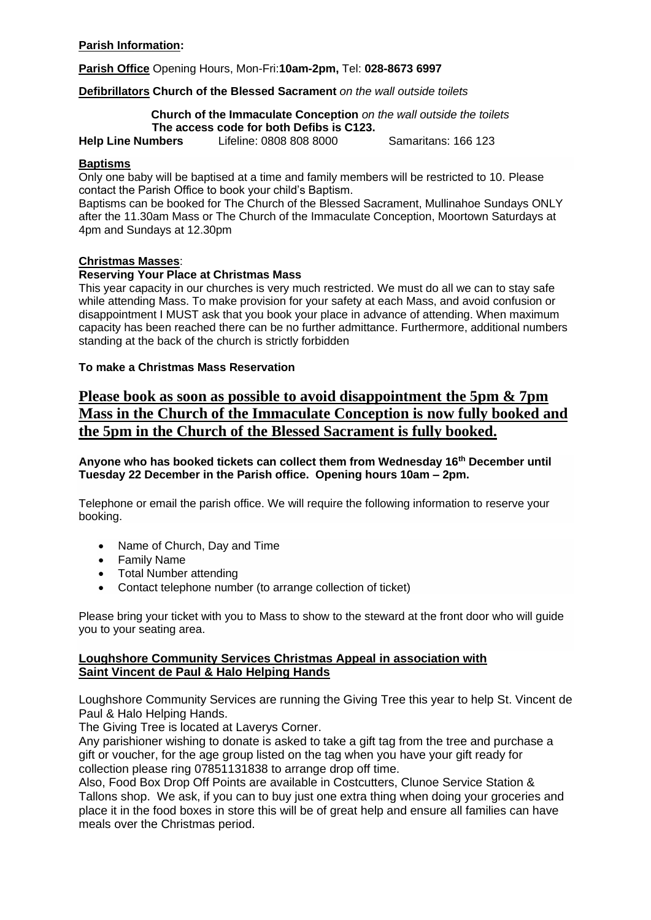## **Parish Information:**

**Parish Office** Opening Hours, Mon-Fri:**10am-2pm,** Tel: **028-8673 6997**

#### **Defibrillators Church of the Blessed Sacrament** *on the wall outside toilets*

 **Church of the Immaculate Conception** *on the wall outside the toilets*  **The access code for both Defibs is C123.**

**Help Line Numbers** Lifeline: 0808 808 8000Samaritans: 166 123

#### **Baptisms**

Only one baby will be baptised at a time and family members will be restricted to 10. Please contact the Parish Office to book your child's Baptism.

Baptisms can be booked for The Church of the Blessed Sacrament, Mullinahoe Sundays ONLY after the 11.30am Mass or The Church of the Immaculate Conception, Moortown Saturdays at 4pm and Sundays at 12.30pm

#### **Christmas Masses**:

#### **Reserving Your Place at Christmas Mass**

This year capacity in our churches is very much restricted. We must do all we can to stay safe while attending Mass. To make provision for your safety at each Mass, and avoid confusion or disappointment I MUST ask that you book your place in advance of attending. When maximum capacity has been reached there can be no further admittance. Furthermore, additional numbers standing at the back of the church is strictly forbidden

## **To make a Christmas Mass Reservation**

# **Please book as soon as possible to avoid disappointment the 5pm & 7pm Mass in the Church of the Immaculate Conception is now fully booked and the 5pm in the Church of the Blessed Sacrament is fully booked.**

**Anyone who has booked tickets can collect them from Wednesday 16th December until Tuesday 22 December in the Parish office. Opening hours 10am – 2pm.**

Telephone or email the parish office. We will require the following information to reserve your booking.

- Name of Church, Day and Time
- Family Name
- Total Number attending
- Contact telephone number (to arrange collection of ticket)

Please bring your ticket with you to Mass to show to the steward at the front door who will guide you to your seating area.

#### **Loughshore Community Services Christmas Appeal in association with Saint Vincent de Paul & Halo Helping Hands**

Loughshore Community Services are running the Giving Tree this year to help St. Vincent de Paul & Halo Helping Hands.

The Giving Tree is located at Laverys Corner.

Any parishioner wishing to donate is asked to take a gift tag from the tree and purchase a gift or voucher, for the age group listed on the tag when you have your gift ready for collection please ring 07851131838 to arrange drop off time.

Also, Food Box Drop Off Points are available in Costcutters, Clunoe Service Station & Tallons shop. We ask, if you can to buy just one extra thing when doing your groceries and place it in the food boxes in store this will be of great help and ensure all families can have meals over the Christmas period.